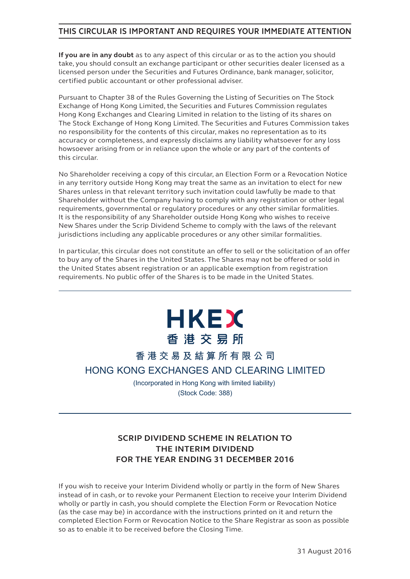## **THIS CIRCULAR IS IMPORTANT AND REQUIRES YOUR IMMEDIATE ATTENTION**

**If you are in any doubt** as to any aspect of this circular or as to the action you should take, you should consult an exchange participant or other securities dealer licensed as a licensed person under the Securities and Futures Ordinance, bank manager, solicitor, certified public accountant or other professional adviser.

Pursuant to Chapter 38 of the Rules Governing the Listing of Securities on The Stock Exchange of Hong Kong Limited, the Securities and Futures Commission regulates Hong Kong Exchanges and Clearing Limited in relation to the listing of its shares on The Stock Exchange of Hong Kong Limited. The Securities and Futures Commission takes no responsibility for the contents of this circular, makes no representation as to its accuracy or completeness, and expressly disclaims any liability whatsoever for any loss howsoever arising from or in reliance upon the whole or any part of the contents of this circular.

No Shareholder receiving a copy of this circular, an Election Form or a Revocation Notice in any territory outside Hong Kong may treat the same as an invitation to elect for new Shares unless in that relevant territory such invitation could lawfully be made to that Shareholder without the Company having to comply with any registration or other legal requirements, governmental or regulatory procedures or any other similar formalities. It is the responsibility of any Shareholder outside Hong Kong who wishes to receive New Shares under the Scrip Dividend Scheme to comply with the laws of the relevant jurisdictions including any applicable procedures or any other similar formalities.

In particular, this circular does not constitute an offer to sell or the solicitation of an offer to buy any of the Shares in the United States. The Shares may not be offered or sold in the United States absent registration or an applicable exemption from registration requirements. No public offer of the Shares is to be made in the United States.

# **HKEX** 香港交易所

# **香港交易及結算所有限公司 HONG KONG EXCHANGES AND CLEARING LIMITED**

(Incorporated in Hong Kong with limited liability) (Stock Code: 388)

# **SCRIP DIVIDEND SCHEME IN RELATION TO THE INTERIM DIVIDEND FOR THE YEAR ENDING 31 DECEMBER 2016**

If you wish to receive your Interim Dividend wholly or partly in the form of New Shares instead of in cash, or to revoke your Permanent Election to receive your Interim Dividend wholly or partly in cash, you should complete the Election Form or Revocation Notice (as the case may be) in accordance with the instructions printed on it and return the completed Election Form or Revocation Notice to the Share Registrar as soon as possible so as to enable it to be received before the Closing Time.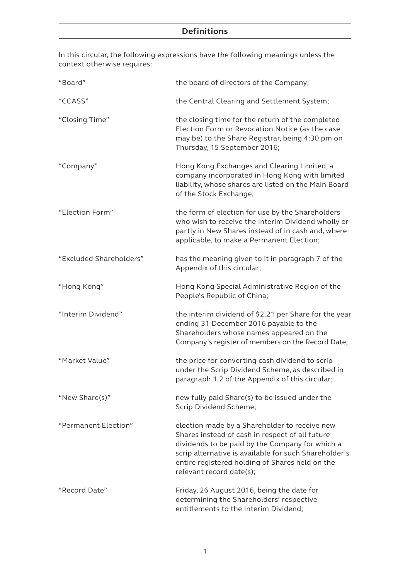# **Definitions**

In this circular, the following expressions have the following meanings unless the context otherwise requires:

| "Board"                 | the board of directors of the Company;                                                                                                                                                                                                                                                      |
|-------------------------|---------------------------------------------------------------------------------------------------------------------------------------------------------------------------------------------------------------------------------------------------------------------------------------------|
| "CCASS"                 | the Central Clearing and Settlement System;                                                                                                                                                                                                                                                 |
| "Closing Time"          | the closing time for the return of the completed<br>Election Form or Revocation Notice (as the case<br>may be) to the Share Registrar, being 4:30 pm on<br>Thursday, 15 September 2016;                                                                                                     |
| "Company"               | Hong Kong Exchanges and Clearing Limited, a<br>company incorporated in Hong Kong with limited<br>liability, whose shares are listed on the Main Board<br>of the Stock Exchange;                                                                                                             |
| "Election Form"         | the form of election for use by the Shareholders<br>who wish to receive the Interim Dividend wholly or<br>partly in New Shares instead of in cash and, where<br>applicable, to make a Permanent Election;                                                                                   |
| "Excluded Shareholders" | has the meaning given to it in paragraph 7 of the<br>Appendix of this circular;                                                                                                                                                                                                             |
| "Hong Kong"             | Hong Kong Special Administrative Region of the<br>People's Republic of China;                                                                                                                                                                                                               |
| "Interim Dividend"      | the interim dividend of \$2.21 per Share for the year<br>ending 31 December 2016 payable to the<br>Shareholders whose names appeared on the<br>Company's register of members on the Record Date;                                                                                            |
| "Market Value"          | the price for converting cash dividend to scrip<br>under the Scrip Dividend Scheme, as described in<br>paragraph 1.2 of the Appendix of this circular;                                                                                                                                      |
| "New Share(s)"          | new fully paid Share(s) to be issued under the<br>Scrip Dividend Scheme;                                                                                                                                                                                                                    |
| "Permanent Election"    | election made by a Shareholder to receive new<br>Shares instead of cash in respect of all future<br>dividends to be paid by the Company for which a<br>scrip alternative is available for such Shareholder's<br>entire registered holding of Shares held on the<br>relevant record date(s); |
| "Record Date"           | Friday, 26 August 2016, being the date for<br>determining the Shareholders' respective<br>entitlements to the Interim Dividend;                                                                                                                                                             |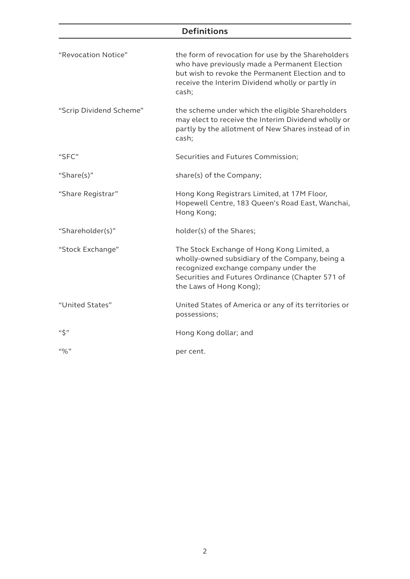# **Definitions**

| "Revocation Notice"     | the form of revocation for use by the Shareholders<br>who have previously made a Permanent Election<br>but wish to revoke the Permanent Election and to<br>receive the Interim Dividend wholly or partly in<br>cash;  |  |  |  |
|-------------------------|-----------------------------------------------------------------------------------------------------------------------------------------------------------------------------------------------------------------------|--|--|--|
| "Scrip Dividend Scheme" | the scheme under which the eligible Shareholders<br>may elect to receive the Interim Dividend wholly or<br>partly by the allotment of New Shares instead of in<br>cash;                                               |  |  |  |
| "SFC"                   | Securities and Futures Commission;                                                                                                                                                                                    |  |  |  |
| "Share(s)"              | share(s) of the Company;                                                                                                                                                                                              |  |  |  |
| "Share Registrar"       | Hong Kong Registrars Limited, at 17M Floor,<br>Hopewell Centre, 183 Queen's Road East, Wanchai,<br>Hong Kong;                                                                                                         |  |  |  |
| "Shareholder(s)"        | holder(s) of the Shares;                                                                                                                                                                                              |  |  |  |
| "Stock Exchange"        | The Stock Exchange of Hong Kong Limited, a<br>wholly-owned subsidiary of the Company, being a<br>recognized exchange company under the<br>Securities and Futures Ordinance (Chapter 571 of<br>the Laws of Hong Kong); |  |  |  |
| "United States"         | United States of America or any of its territories or<br>possessions;                                                                                                                                                 |  |  |  |
| $``\zeta"$              | Hong Kong dollar; and                                                                                                                                                                                                 |  |  |  |
| $``\%"$                 | per cent.                                                                                                                                                                                                             |  |  |  |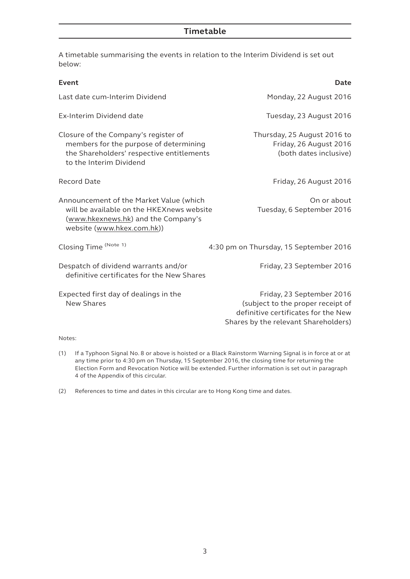## **Timetable**

A timetable summarising the events in relation to the Interim Dividend is set out below:

| Monday, 22 August 2016                                                                                                                        |
|-----------------------------------------------------------------------------------------------------------------------------------------------|
|                                                                                                                                               |
| Tuesday, 23 August 2016                                                                                                                       |
| Thursday, 25 August 2016 to<br>Friday, 26 August 2016<br>(both dates inclusive)                                                               |
| Friday, 26 August 2016                                                                                                                        |
| On or about<br>Tuesday, 6 September 2016                                                                                                      |
| 4:30 pm on Thursday, 15 September 2016                                                                                                        |
| Friday, 23 September 2016                                                                                                                     |
| Friday, 23 September 2016<br>(subject to the proper receipt of<br>definitive certificates for the New<br>Shares by the relevant Shareholders) |
|                                                                                                                                               |

(1) If a Typhoon Signal No. 8 or above is hoisted or a Black Rainstorm Warning Signal is in force at or at any time prior to 4:30 pm on Thursday, 15 September 2016, the closing time for returning the Election Form and Revocation Notice will be extended. Further information is set out in paragraph 4 of the Appendix of this circular.

(2) References to time and dates in this circular are to Hong Kong time and dates.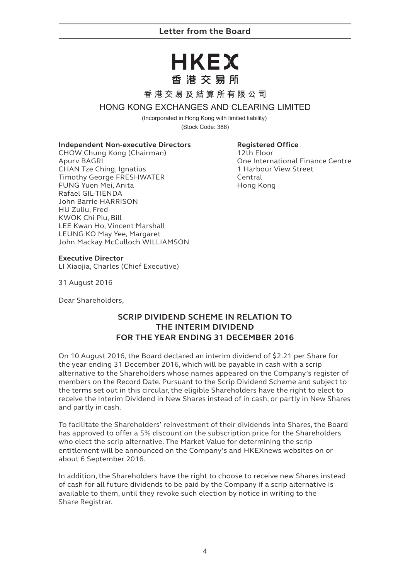## **Letter from the Board**

# HKEX 香港交易所

#### **香港交易及結算所有限公司**

#### **HONG KONG EXCHANGES AND CLEARING LIMITED**

(Incorporated in Hong Kong with limited liability) (Stock Code: 388)

#### **Independent Non-executive Directors**

CHOW Chung Kong (Chairman) Apurv BAGRI CHAN Tze Ching, Ignatius Timothy George FRESHWATER FUNG Yuen Mei, Anita Rafael GIL-TIENDA John Barrie HARRISON HU Zuliu, Fred KWOK Chi Piu, Bill LEE Kwan Ho, Vincent Marshall LEUNG KO May Yee, Margaret John Mackay McCulloch WILLIAMSON

#### **Registered Office**

12th Floor One International Finance Centre 1 Harbour View Street Central Hong Kong

#### **Executive Director**

LI Xiaojia, Charles (Chief Executive)

31 August 2016

Dear Shareholders,

# **SCRIP DIVIDEND SCHEME IN RELATION TO THE INTERIM DIVIDEND FOR THE YEAR ENDING 31 DECEMBER 2016**

On 10 August 2016, the Board declared an interim dividend of \$2.21 per Share for the year ending 31 December 2016, which will be payable in cash with a scrip alternative to the Shareholders whose names appeared on the Company's register of members on the Record Date. Pursuant to the Scrip Dividend Scheme and subject to the terms set out in this circular, the eligible Shareholders have the right to elect to receive the Interim Dividend in New Shares instead of in cash, or partly in New Shares and partly in cash.

To facilitate the Shareholders' reinvestment of their dividends into Shares, the Board has approved to offer a 5% discount on the subscription price for the Shareholders who elect the scrip alternative. The Market Value for determining the scrip entitlement will be announced on the Company's and HKEXnews websites on or about 6 September 2016.

In addition, the Shareholders have the right to choose to receive new Shares instead of cash for all future dividends to be paid by the Company if a scrip alternative is available to them, until they revoke such election by notice in writing to the Share Registrar.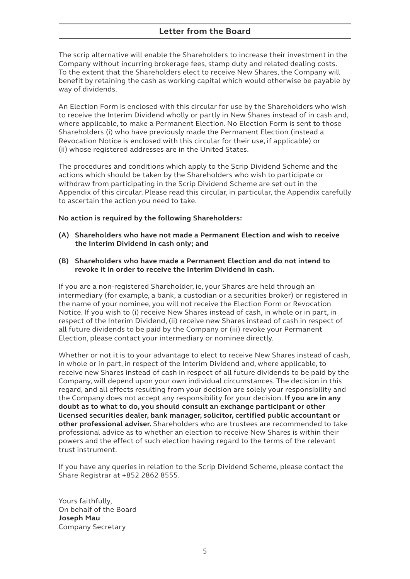## **Letter from the Board**

The scrip alternative will enable the Shareholders to increase their investment in the Company without incurring brokerage fees, stamp duty and related dealing costs. To the extent that the Shareholders elect to receive New Shares, the Company will benefit by retaining the cash as working capital which would otherwise be payable by way of dividends.

An Election Form is enclosed with this circular for use by the Shareholders who wish to receive the Interim Dividend wholly or partly in New Shares instead of in cash and, where applicable, to make a Permanent Election. No Election Form is sent to those Shareholders (i) who have previously made the Permanent Election (instead a Revocation Notice is enclosed with this circular for their use, if applicable) or (ii) whose registered addresses are in the United States.

The procedures and conditions which apply to the Scrip Dividend Scheme and the actions which should be taken by the Shareholders who wish to participate or withdraw from participating in the Scrip Dividend Scheme are set out in the Appendix of this circular. Please read this circular, in particular, the Appendix carefully to ascertain the action you need to take.

#### **No action is required by the following Shareholders:**

- **(A) Shareholders who have not made a Permanent Election and wish to receive the Interim Dividend in cash only; and**
- **(B) Shareholders who have made a Permanent Election and do not intend to revoke it in order to receive the Interim Dividend in cash.**

If you are a non-registered Shareholder, ie, your Shares are held through an intermediary (for example, a bank, a custodian or a securities broker) or registered in the name of your nominee, you will not receive the Election Form or Revocation Notice. If you wish to (i) receive New Shares instead of cash, in whole or in part, in respect of the Interim Dividend, (ii) receive new Shares instead of cash in respect of all future dividends to be paid by the Company or (iii) revoke your Permanent Election, please contact your intermediary or nominee directly.

Whether or not it is to your advantage to elect to receive New Shares instead of cash, in whole or in part, in respect of the Interim Dividend and, where applicable, to receive new Shares instead of cash in respect of all future dividends to be paid by the Company, will depend upon your own individual circumstances. The decision in this regard, and all effects resulting from your decision are solely your responsibility and the Company does not accept any responsibility for your decision. **If you are in any doubt as to what to do, you should consult an exchange participant or other licensed securities dealer, bank manager, solicitor, certified public accountant or other professional adviser.** Shareholders who are trustees are recommended to take professional advice as to whether an election to receive New Shares is within their powers and the effect of such election having regard to the terms of the relevant trust instrument.

If you have any queries in relation to the Scrip Dividend Scheme, please contact the Share Registrar at +852 2862 8555.

Yours faithfully, On behalf of the Board **Joseph Mau** Company Secretary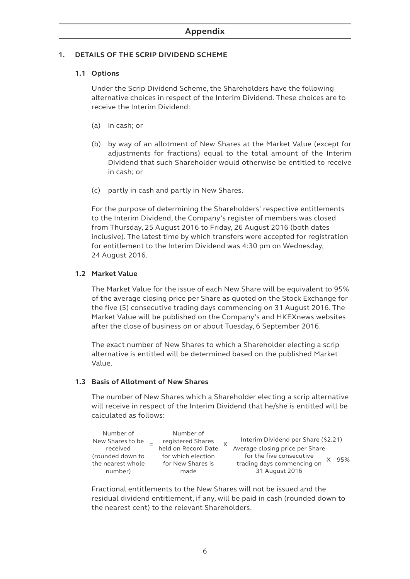#### **1. DETAILS OF THE SCRIP DIVIDEND SCHEME**

### **1.1 Options**

Under the Scrip Dividend Scheme, the Shareholders have the following alternative choices in respect of the Interim Dividend. These choices are to receive the Interim Dividend:

- (a) in cash; or
- (b) by way of an allotment of New Shares at the Market Value (except for adjustments for fractions) equal to the total amount of the Interim Dividend that such Shareholder would otherwise be entitled to receive in cash; or
- (c) partly in cash and partly in New Shares.

For the purpose of determining the Shareholders' respective entitlements to the Interim Dividend, the Company's register of members was closed from Thursday, 25 August 2016 to Friday, 26 August 2016 (both dates inclusive). The latest time by which transfers were accepted for registration for entitlement to the Interim Dividend was 4:30 pm on Wednesday, 24 August 2016.

#### **1.2 Market Value**

The Market Value for the issue of each New Share will be equivalent to 95% of the average closing price per Share as quoted on the Stock Exchange for the five (5) consecutive trading days commencing on 31 August 2016. The Market Value will be published on the Company's and HKEXnews websites after the close of business on or about Tuesday, 6 September 2016.

The exact number of New Shares to which a Shareholder electing a scrip alternative is entitled will be determined based on the published Market Value.

#### **1.3 Basis of Allotment of New Shares**

The number of New Shares which a Shareholder electing a scrip alternative will receive in respect of the Interim Dividend that he/she is entitled will be calculated as follows:

| Number of<br>New Shares to be                                | Number of<br>registered Shares                                         |  | Interim Dividend per Share (\$2.21)                                                                         |     |
|--------------------------------------------------------------|------------------------------------------------------------------------|--|-------------------------------------------------------------------------------------------------------------|-----|
| received<br>(rounded down to<br>the nearest whole<br>number) | held on Record Date<br>for which election<br>for New Shares is<br>made |  | Average closing price per Share<br>for the five consecutive<br>trading days commencing on<br>31 August 2016 | 95% |

Fractional entitlements to the New Shares will not be issued and the residual dividend entitlement, if any, will be paid in cash (rounded down to the nearest cent) to the relevant Shareholders.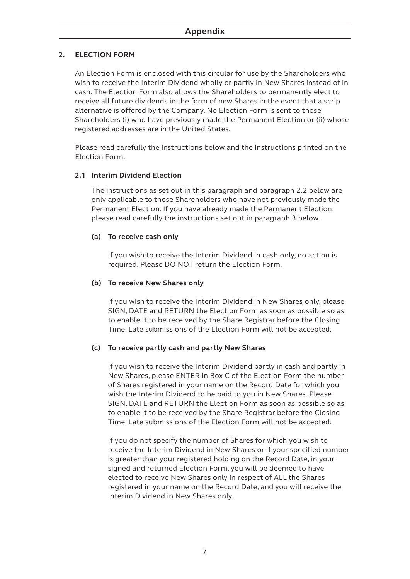#### **2. ELECTION FORM**

An Election Form is enclosed with this circular for use by the Shareholders who wish to receive the Interim Dividend wholly or partly in New Shares instead of in cash. The Election Form also allows the Shareholders to permanently elect to receive all future dividends in the form of new Shares in the event that a scrip alternative is offered by the Company. No Election Form is sent to those Shareholders (i) who have previously made the Permanent Election or (ii) whose registered addresses are in the United States.

Please read carefully the instructions below and the instructions printed on the Election Form.

### **2.1 Interim Dividend Election**

The instructions as set out in this paragraph and paragraph 2.2 below are only applicable to those Shareholders who have not previously made the Permanent Election. If you have already made the Permanent Election, please read carefully the instructions set out in paragraph 3 below.

#### **(a) To receive cash only**

If you wish to receive the Interim Dividend in cash only, no action is required. Please DO NOT return the Election Form.

#### **(b) To receive New Shares only**

If you wish to receive the Interim Dividend in New Shares only, please SIGN, DATE and RETURN the Election Form as soon as possible so as to enable it to be received by the Share Registrar before the Closing Time. Late submissions of the Election Form will not be accepted.

#### **(c) To receive partly cash and partly New Shares**

If you wish to receive the Interim Dividend partly in cash and partly in New Shares, please ENTER in Box C of the Election Form the number of Shares registered in your name on the Record Date for which you wish the Interim Dividend to be paid to you in New Shares. Please SIGN, DATE and RETURN the Election Form as soon as possible so as to enable it to be received by the Share Registrar before the Closing Time. Late submissions of the Election Form will not be accepted.

If you do not specify the number of Shares for which you wish to receive the Interim Dividend in New Shares or if your specified number is greater than your registered holding on the Record Date, in your signed and returned Election Form, you will be deemed to have elected to receive New Shares only in respect of ALL the Shares registered in your name on the Record Date, and you will receive the Interim Dividend in New Shares only.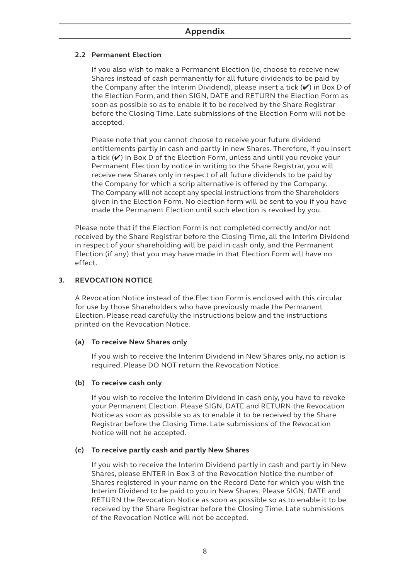#### **2.2 Permanent Election**

If you also wish to make a Permanent Election (ie, choose to receive new Shares instead of cash permanently for all future dividends to be paid by the Company after the Interim Dividend), please insert a tick  $(V)$  in Box D of the Election Form, and then SIGN, DATE and RETURN the Election Form as soon as possible so as to enable it to be received by the Share Registrar before the Closing Time. Late submissions of the Election Form will not be accepted.

Please note that you cannot choose to receive your future dividend entitlements partly in cash and partly in new Shares. Therefore, if you insert a tick  $(V)$  in Box D of the Election Form, unless and until you revoke your Permanent Election by notice in writing to the Share Registrar, you will receive new Shares only in respect of all future dividends to be paid by the Company for which a scrip alternative is offered by the Company. The Company will not accept any special instructions from the Shareholders given in the Election Form. No election form will be sent to you if you have made the Permanent Election until such election is revoked by you.

Please note that if the Election Form is not completed correctly and/or not received by the Share Registrar before the Closing Time, all the Interim Dividend in respect of your shareholding will be paid in cash only, and the Permanent Election (if any) that you may have made in that Election Form will have no effect.

#### **3. REVOCATION NOTICE**

A Revocation Notice instead of the Election Form is enclosed with this circular for use by those Shareholders who have previously made the Permanent Election. Please read carefully the instructions below and the instructions printed on the Revocation Notice.

#### **(a) To receive New Shares only**

If you wish to receive the Interim Dividend in New Shares only, no action is required. Please DO NOT return the Revocation Notice.

#### **(b) To receive cash only**

If you wish to receive the Interim Dividend in cash only, you have to revoke your Permanent Election. Please SIGN, DATE and RETURN the Revocation Notice as soon as possible so as to enable it to be received by the Share Registrar before the Closing Time. Late submissions of the Revocation Notice will not be accepted.

#### **(c) To receive partly cash and partly New Shares**

If you wish to receive the Interim Dividend partly in cash and partly in New Shares, please ENTER in Box 3 of the Revocation Notice the number of Shares registered in your name on the Record Date for which you wish the Interim Dividend to be paid to you in New Shares. Please SIGN, DATE and RETURN the Revocation Notice as soon as possible so as to enable it to be received by the Share Registrar before the Closing Time. Late submissions of the Revocation Notice will not be accepted.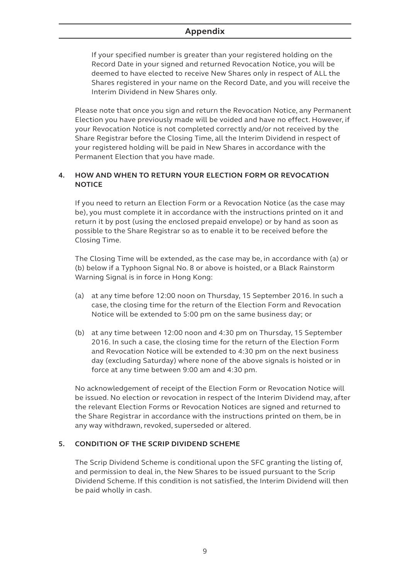# **Appendix**

If your specified number is greater than your registered holding on the Record Date in your signed and returned Revocation Notice, you will be deemed to have elected to receive New Shares only in respect of ALL the Shares registered in your name on the Record Date, and you will receive the Interim Dividend in New Shares only.

Please note that once you sign and return the Revocation Notice, any Permanent Election you have previously made will be voided and have no effect. However, if your Revocation Notice is not completed correctly and/or not received by the Share Registrar before the Closing Time, all the Interim Dividend in respect of your registered holding will be paid in New Shares in accordance with the Permanent Election that you have made.

#### **4. HOW AND WHEN TO RETURN YOUR ELECTION FORM OR REVOCATION NOTICE**

If you need to return an Election Form or a Revocation Notice (as the case may be), you must complete it in accordance with the instructions printed on it and return it by post (using the enclosed prepaid envelope) or by hand as soon as possible to the Share Registrar so as to enable it to be received before the Closing Time.

The Closing Time will be extended, as the case may be, in accordance with (a) or (b) below if a Typhoon Signal No. 8 or above is hoisted, or a Black Rainstorm Warning Signal is in force in Hong Kong:

- (a) at any time before 12:00 noon on Thursday, 15 September 2016. In such a case, the closing time for the return of the Election Form and Revocation Notice will be extended to 5:00 pm on the same business day; or
- (b) at any time between 12:00 noon and 4:30 pm on Thursday, 15 September 2016. In such a case, the closing time for the return of the Election Form and Revocation Notice will be extended to 4:30 pm on the next business day (excluding Saturday) where none of the above signals is hoisted or in force at any time between 9:00 am and 4:30 pm.

No acknowledgement of receipt of the Election Form or Revocation Notice will be issued. No election or revocation in respect of the Interim Dividend may, after the relevant Election Forms or Revocation Notices are signed and returned to the Share Registrar in accordance with the instructions printed on them, be in any way withdrawn, revoked, superseded or altered.

#### **5. CONDITION OF THE SCRIP DIVIDEND SCHEME**

The Scrip Dividend Scheme is conditional upon the SFC granting the listing of, and permission to deal in, the New Shares to be issued pursuant to the Scrip Dividend Scheme. If this condition is not satisfied, the Interim Dividend will then be paid wholly in cash.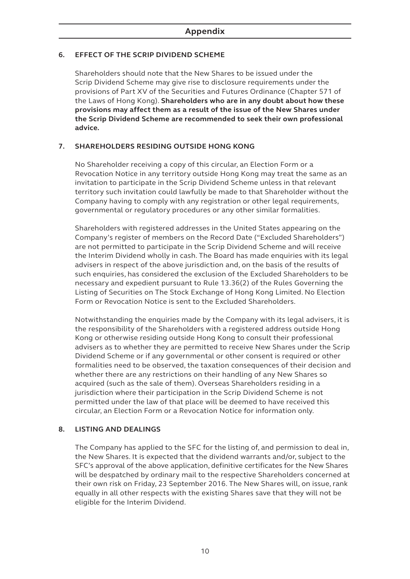#### **6. EFFECT OF THE SCRIP DIVIDEND SCHEME**

Shareholders should note that the New Shares to be issued under the Scrip Dividend Scheme may give rise to disclosure requirements under the provisions of Part XV of the Securities and Futures Ordinance (Chapter 571 of the Laws of Hong Kong). **Shareholders who are in any doubt about how these provisions may affect them as a result of the issue of the New Shares under the Scrip Dividend Scheme are recommended to seek their own professional advice.**

#### **7. SHAREHOLDERS RESIDING OUTSIDE HONG KONG**

No Shareholder receiving a copy of this circular, an Election Form or a Revocation Notice in any territory outside Hong Kong may treat the same as an invitation to participate in the Scrip Dividend Scheme unless in that relevant territory such invitation could lawfully be made to that Shareholder without the Company having to comply with any registration or other legal requirements, governmental or regulatory procedures or any other similar formalities.

Shareholders with registered addresses in the United States appearing on the Company's register of members on the Record Date ("Excluded Shareholders") are not permitted to participate in the Scrip Dividend Scheme and will receive the Interim Dividend wholly in cash. The Board has made enquiries with its legal advisers in respect of the above jurisdiction and, on the basis of the results of such enquiries, has considered the exclusion of the Excluded Shareholders to be necessary and expedient pursuant to Rule 13.36(2) of the Rules Governing the Listing of Securities on The Stock Exchange of Hong Kong Limited. No Election Form or Revocation Notice is sent to the Excluded Shareholders.

Notwithstanding the enquiries made by the Company with its legal advisers, it is the responsibility of the Shareholders with a registered address outside Hong Kong or otherwise residing outside Hong Kong to consult their professional advisers as to whether they are permitted to receive New Shares under the Scrip Dividend Scheme or if any governmental or other consent is required or other formalities need to be observed, the taxation consequences of their decision and whether there are any restrictions on their handling of any New Shares so acquired (such as the sale of them). Overseas Shareholders residing in a jurisdiction where their participation in the Scrip Dividend Scheme is not permitted under the law of that place will be deemed to have received this circular, an Election Form or a Revocation Notice for information only.

#### **8. LISTING AND DEALINGS**

The Company has applied to the SFC for the listing of, and permission to deal in, the New Shares. It is expected that the dividend warrants and/or, subject to the SFC's approval of the above application, definitive certificates for the New Shares will be despatched by ordinary mail to the respective Shareholders concerned at their own risk on Friday, 23 September 2016. The New Shares will, on issue, rank equally in all other respects with the existing Shares save that they will not be eligible for the Interim Dividend.